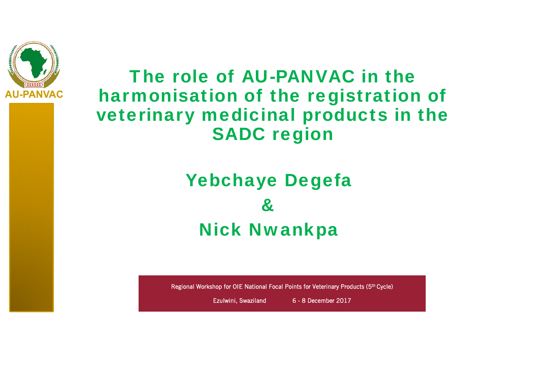

The role of AU-PANVAC in the harmonisation of the registration of veterinary medicinal products in the SADC region

#### Yebchaye Degefa  $\mathcal{R}_{\mathcal{L}}$ Nick Nwankpa

Regional Workshop for OIE National Focal Points for Veterinary Products (5th Cycle)

Ezulwini, Swaziland 6 - 8 December 2017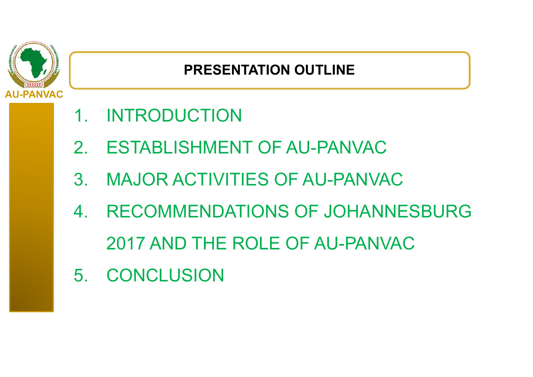

#### **PRESENTATION OUTLINE**

- 1. INTRODUCTION
- 2. ESTABLISHMENT OF AU-PANVAC
- 3. MAJOR ACTIVITIES OF AU-PANVAC
- 4. RECOMMENDATIONS OF JOHANNESBURG 2017 AND THE ROLE OF AU-PANVAC
- 5. CONCLUSION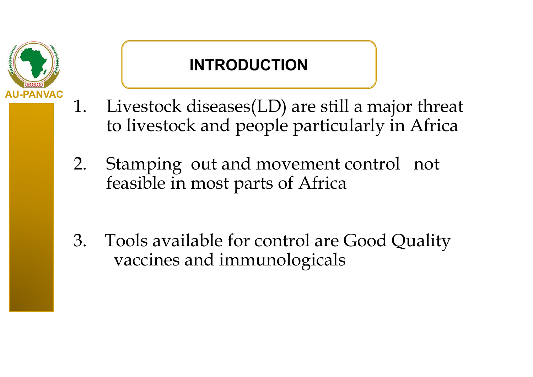

#### **INTRODUCTION**

- 1. Livestock diseases(LD) are still a major threat to livestock and people particularly in Africa
- 2. Stamping out and movement control not feasible in most parts of Africa
- 3. Tools available for control are Good Quality vaccines and immunologicals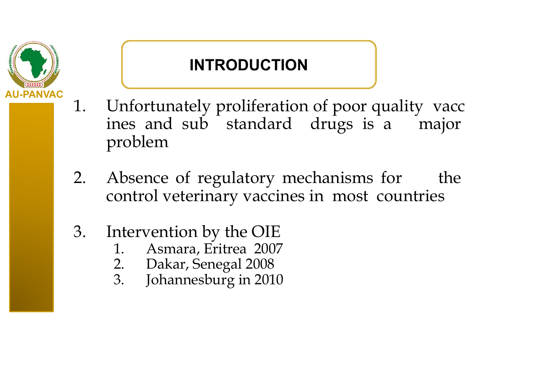

#### **INTRODUCTION**

- 1. Unfortunately proliferation of poor quality vacc ines and sub standard drugs is <sup>a</sup> major problem
- 2. Absence of regulatory mechanisms for the control veterinary vaccines in most countries
- 3. Intervention by the OIE
	- 1. Asmara, Eritrea 2007
	- 2. Dakar, Senegal 2008<br>3. Johannesburg in 201
	- Johannesburg in 2010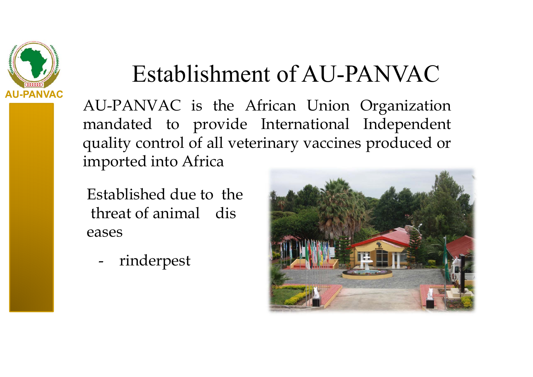

# Establishment of AU-PANVAC

AU-PANVAC is the African Union Organization mandated to provide International Independent quality control of all veterinary vaccines produced or imported into Africa

Established due to the threat of animal dis eases

rinderpest

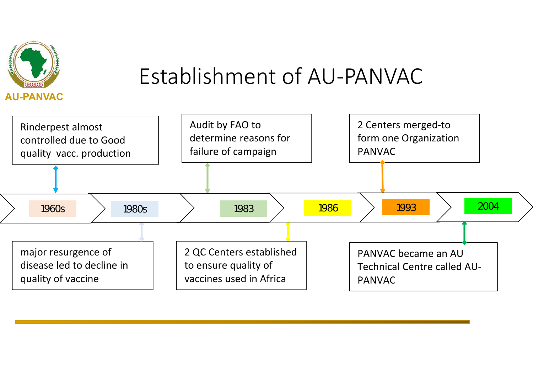

### Establishment of AU-PANVAC

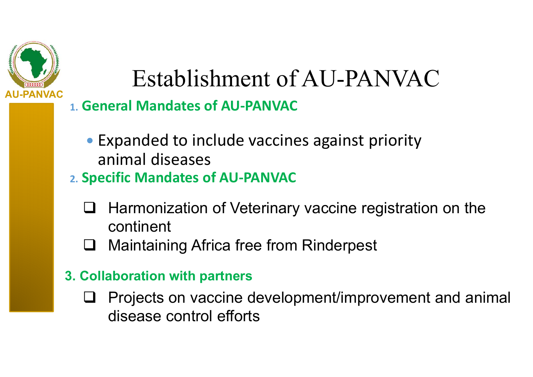

# Establishment of AU-PANVAC

#### **1. General Mandates of AU-PANVAC**

- Expanded to include vaccines against priority animal diseases
- **2. Specific Mandates of AU-PANVAC**
	- $\Box$  Harmonization of Veterinary vaccine registration on the continent
	- $\sqcup$ Maintaining Africa free from Rinderpest
- **3. Collaboration with partners**
	- $\sqcup$  Projects on vaccine development/improvement and animal disease control efforts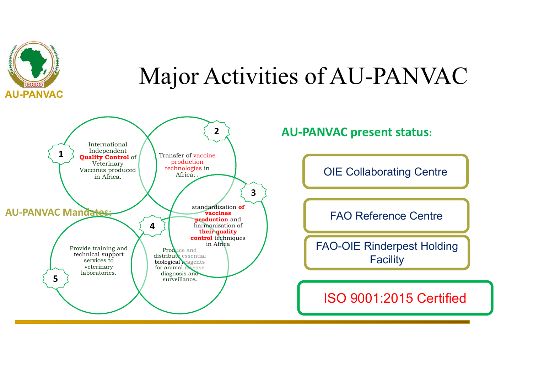

## Major Activities of AU-PANVAC



**AU-PANVAC present status:**

OIE Collaborating Centre

FAO Reference Centre

FAO-OIE Rinderpest Holding **Facility** 

ISO 9001:2015 Certified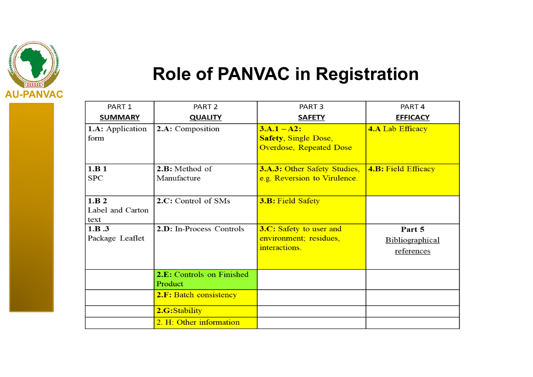

#### **Role of PANVAC in Registration**

| PART <sub>1</sub>                 | PART <sub>2</sub>                    | PART <sub>3</sub>                                                              | PART <sub>4</sub>                       |
|-----------------------------------|--------------------------------------|--------------------------------------------------------------------------------|-----------------------------------------|
| <b>SUMMARY</b>                    | <b>QUALITY</b>                       | <b>SAFETY</b>                                                                  | <b>EFFICACY</b>                         |
| <b>1.A:</b> Application<br>form   | 2.A: Composition                     | $3.A.1 - A2:$<br><b>Safety, Single Dose,</b><br><b>Overdose, Repeated Dose</b> | <b>4.A Lab Efficacy</b>                 |
| 1.B 1<br><b>SPC</b>               | 2.B: Method of<br>Manufacture        | <b>3.A.3: Other Safety Studies,</b><br>e.g. Reversion to Virulence.            | <b>4.B: Field Efficacy</b>              |
| 1.B.2<br>Label and Carton<br>text | 2.C: Control of SMs                  | <b>3.B: Field Safety</b>                                                       |                                         |
| 1.B.3<br>Package Leaflet          | 2.D: In-Process Controls             | <b>3.C:</b> Safety to user and<br>environment; residues,<br>interactions.      | Part 5<br>Bibliographical<br>references |
|                                   | 2.E: Controls on Finished<br>Product |                                                                                |                                         |
|                                   | 2.F: Batch consistency               |                                                                                |                                         |
|                                   | 2.G:Stability                        |                                                                                |                                         |
|                                   | 2. H: Other information              |                                                                                |                                         |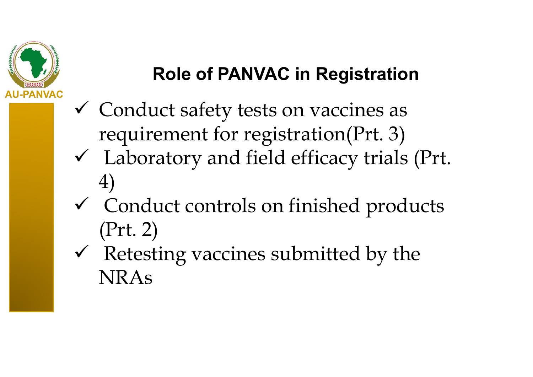

#### **Role of PANVAC in Registration**

- Conduct safety tests on vaccines as requirement for registration(Prt. 3)
- Laboratory and field efficacy trials (Prt. 4)
- Conduct controls on finished products (Prt. 2)
- $\checkmark$  Retesting vaccines submitted by the NRAs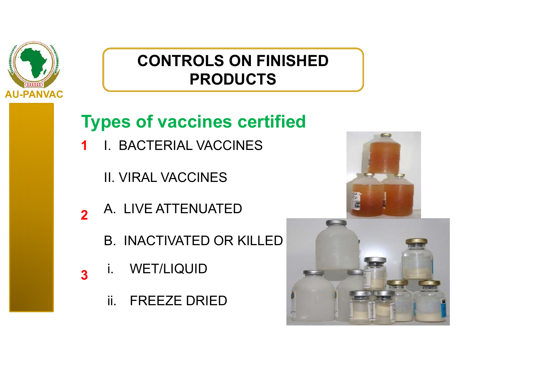

#### **Types of vaccines certified**

- I. BACTERIAL VACCINES **1**
	- II. VIRAL VACCINES
- A. LIVE ATTENUATED **2**
	- B. INACTIVATED OR KILLED
- i. WET/LIQUID **3**
	- ii. FREEZE DRIED



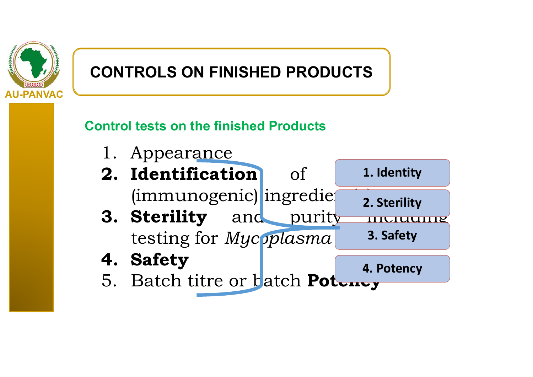

#### **Control tests on the finished Products**

- 1. Appearance
- **2. Identification1. Identity**  $(immunogenic)$  ingredie **2. Sterility**
- **3. Sterility** and purity including testing for *Mycoplasma* **3. Safety**
- **4. Safety**
- **4. Potency**
- 5. Batch titre or batch **Potency**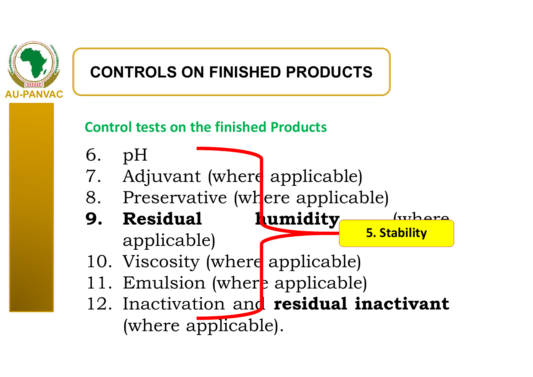

#### **Control tests on the finished Products**

- 6. pH
- 7. Adjuvant (where applicable)
- 8. Preservative (where applicable)
- **9. Residual humidity** (where applicable) **5. Stability**
- 10. Viscosity (where applicable)
- 11. Emulsion (where applicable)
- 12. Inactivation and **residual inactivant** (where applicable).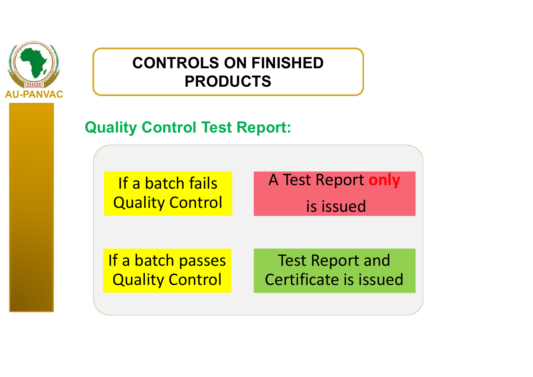

**Quality Control Test Report:**

If a batch fails **Quality Control**  A Test Report **only**

is issued

If a batch passes Quality Control

Test Report and Certificate is issued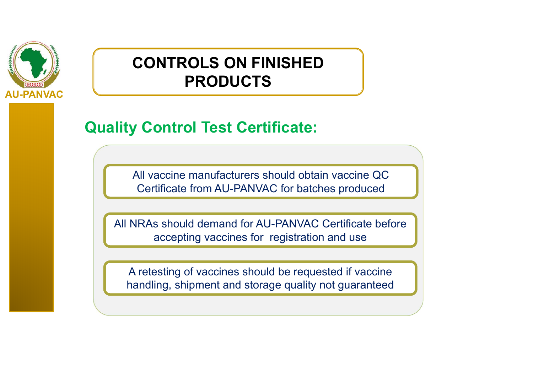

#### **Quality Control Test Certificate:**

All vaccine manufacturers should obtain vaccine QC Certificate from AU-PANVAC for batches produced

All NRAs should demand for AU-PANVAC Certificate before accepting vaccines for registration and use

A retesting of vaccines should be requested if vaccine handling, shipment and storage quality not guaranteed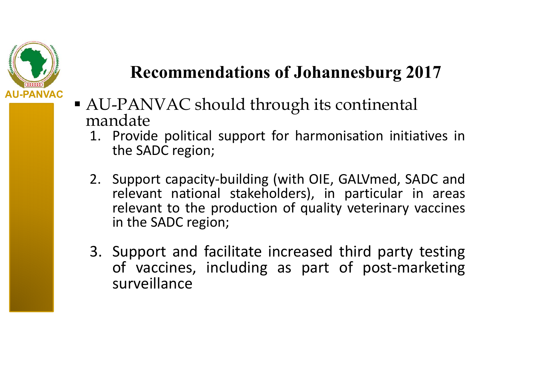

- AU-PANVAC should through its continental mandate
	- 1. Provide political support for harmonisation initiatives in the SADC region;
	- 2. Support capacity-building (with OIE, GALVmed, SADC and relevant national stakeholders), in particular in areas relevant to the production of quality veterinary vaccines in the SADC region;
	- 3. Support and facilitate increased third party testing of vaccines, including as part of post-marketing surveillance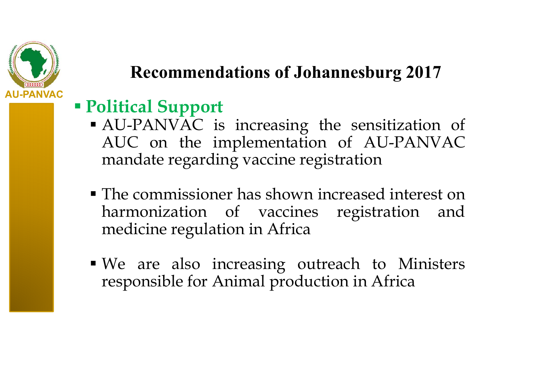

#### **Political Support**

- AU-PANVAC is increasing the sensitization of AUC on the implementation of AU-PANVAC mandate regarding vaccine registration
- The commissioner has shown increased interest onharmonization of vaccines registration and medicine regulation in Africa
- We are also increasing outreach to Ministers responsible for Animal production in Africa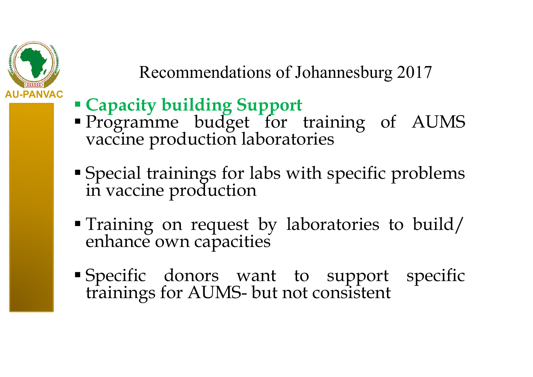

- **Capacity building Support**
- Programme budget for training of AUMS vaccine production laboratories
- Special trainings for labs with specific problems in vaccine production
- Training on reques<sup>t</sup> by laboratories to build/ enhance own capacities
- Specific donors want to suppor<sup>t</sup> specific trainings for AUMS- but not consistent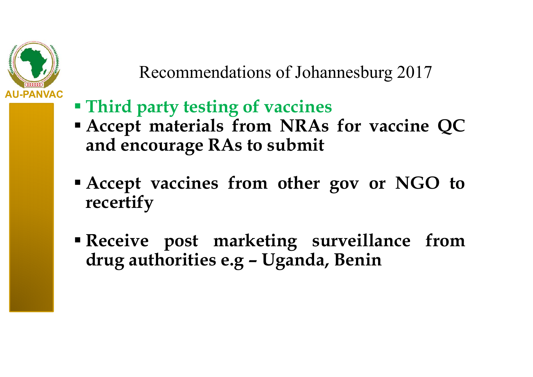

- **Third party testing of vaccines**
- **Accept materials from NRAs for vaccine QC and encourage RAs to submit**
- **Accept vaccines from other gov or NGO to recertify**
- **Receive pos<sup>t</sup> marketing surveillance from drug authorities e.g – Uganda, Benin**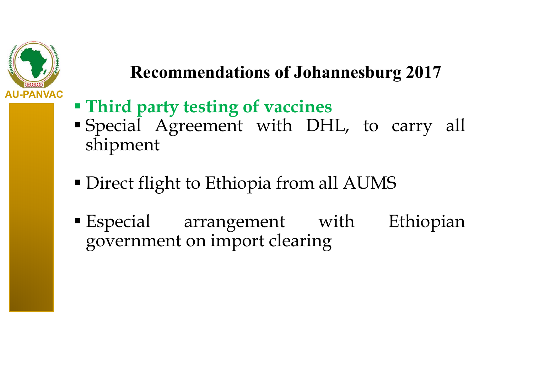

- **Third party testing of vaccines**
- Special Agreement with DHL, to carry all shipment
- Direct flight to Ethiopia from all AUMS
- Especial arrangemen<sup>t</sup> with Ethiopian governmen<sup>t</sup> on import clearing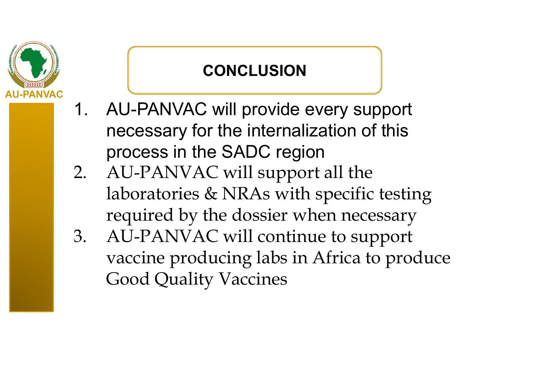# **AU-PANVAC**

#### **CONCLUSION**

- 1. AU-PANVAC will provide every support necessary for the internalization of this process in the SADC region
- 2. AU-PANVAC will support all the laboratories & NRAs with specific testing required by the dossier when necessary
- 3. AU-PANVAC will continue to support vaccine producing labs in Africa to produce Good Quality Vaccines